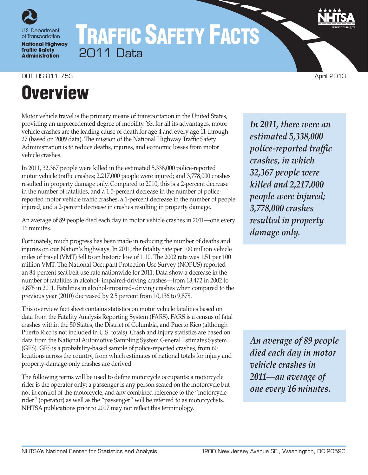

# TRAFFIC SAFETY FACTS 2011 Data

DOT HS 811 753 April 2013

# **Overview**

Motor vehicle travel is the primary means of transportation in the United States, providing an unprecedented degree of mobility. Yet for all its advantages, motor vehicle crashes are the leading cause of death for age 4 and every age 11 through 27 (based on 2009 data). The mission of the National Highway Traffic Safety Administration is to reduce deaths, injuries, and economic losses from motor vehicle crashes.

In 2011, 32,367 people were killed in the estimated 5,338,000 police-reported motor vehicle traffic crashes; 2,217,000 people were injured; and 3,778,000 crashes resulted in property damage only. Compared to 2010, this is a 2-percent decrease in the number of fatalities, and a 1.5-percent decrease in the number of policereported motor vehicle traffic crashes, a 1-percent decrease in the number of people injured, and a 2-percent decrease in crashes resulting in property damage.

An average of 89 people died each day in motor vehicle crashes in 2011—one every 16 minutes.

Fortunately, much progress has been made in reducing the number of deaths and injuries on our Nation's highways. In 2011, the fatality rate per 100 million vehicle miles of travel (VMT) fell to an historic low of 1.10. The 2002 rate was 1.51 per 100 million VMT. The National Occupant Protection Use Survey (NOPUS) reported an 84-percent seat belt use rate nationwide for 2011. Data show a decrease in the number of fatalities in alcohol- impaired-driving crashes—from 13,472 in 2002 to 9,878 in 2011. Fatalities in alcohol-impaired- driving crashes when compared to the previous year (2010) decreased by 2.5 percent from 10,136 to 9,878.

This overview fact sheet contains statistics on motor vehicle fatalities based on data from the Fatality Analysis Reporting System (FARS). FARS is a census of fatal crashes within the 50 States, the District of Columbia, and Puerto Rico (although Puerto Rico is not included in U.S. totals). Crash and injury statistics are based on data from the National Automotive Sampling System General Estimates System (GES). GES is a probability-based sample of police-reported crashes, from 60 locations across the country, from which estimates of national totals for injury and property-damage-only crashes are derived.

The following terms will be used to define motorcycle occupants: a motorcycle rider is the operator only; a passenger is any person seated on the motorcycle but not in control of the motorcycle; and any combined reference to the "motorcycle rider" (operator) as well as the "passenger" will be referred to as motorcyclists. NHTSA publications prior to 2007 may not reflect this terminology.

*In 2011, there were an estimated 5,338,000 police-reported traffic crashes, in which 32,367 people were killed and 2,217,000 people were injured; 3,778,000 crashes resulted in property damage only.*

*An average of 89 people died each day in motor vehicle crashes in 2011—an average of one every 16 minutes.*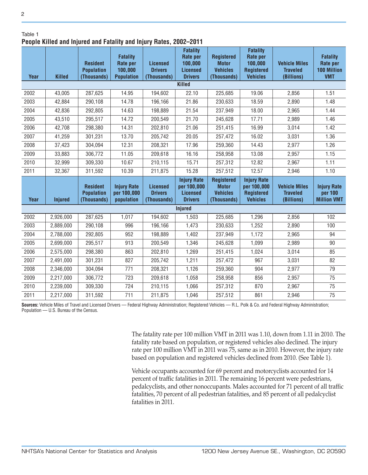Table 1

2

## **People Killed and Injured and Fatality and Injury Rates, 2002–2011**

| r copic Kincu anu mjurcu anu ratanty anu mjury natos, 2002 |                |                                                     |                                                                    |                                                  |                                                                             |                                                                     |                                                                                |                                                       |                                                                        |  |  |
|------------------------------------------------------------|----------------|-----------------------------------------------------|--------------------------------------------------------------------|--------------------------------------------------|-----------------------------------------------------------------------------|---------------------------------------------------------------------|--------------------------------------------------------------------------------|-------------------------------------------------------|------------------------------------------------------------------------|--|--|
| <b>Year</b>                                                | <b>Killed</b>  | <b>Resident</b><br><b>Population</b><br>(Thousands) | <b>Fatality</b><br><b>Rate per</b><br>100,000<br><b>Population</b> | <b>Licensed</b><br><b>Drivers</b><br>(Thousands) | <b>Fatality</b><br>Rate per<br>100,000<br><b>Licensed</b><br><b>Drivers</b> | <b>Registered</b><br><b>Motor</b><br><b>Vehicles</b><br>(Thousands) | <b>Fatality</b><br>Rate per<br>100,000<br><b>Registered</b><br><b>Vehicles</b> | <b>Vehicle Miles</b><br><b>Traveled</b><br>(Billions) | <b>Fatality</b><br><b>Rate per</b><br><b>100 Million</b><br><b>VMT</b> |  |  |
| Killed                                                     |                |                                                     |                                                                    |                                                  |                                                                             |                                                                     |                                                                                |                                                       |                                                                        |  |  |
| 2002                                                       | 43,005         | 287,625                                             | 14.95                                                              | 194,602                                          | 22.10                                                                       | 225,685                                                             | 19.06                                                                          | 2,856                                                 | 1.51                                                                   |  |  |
| 2003                                                       | 42,884         | 290,108                                             | 14.78                                                              | 196,166                                          | 21.86                                                                       | 230,633                                                             | 18.59                                                                          | 2,890                                                 | 1.48                                                                   |  |  |
| 2004                                                       | 42,836         | 292,805                                             | 14.63                                                              | 198,889                                          | 21.54                                                                       | 237,949                                                             | 18.00                                                                          | 2,965                                                 | 1.44                                                                   |  |  |
| 2005                                                       | 43,510         | 295,517                                             | 14.72                                                              | 200,549                                          | 21.70                                                                       | 245,628                                                             | 17.71                                                                          | 2,989                                                 | 1.46                                                                   |  |  |
| 2006                                                       | 42,708         | 298,380                                             | 14.31                                                              | 202,810                                          | 21.06                                                                       | 251,415                                                             | 16.99                                                                          | 3,014                                                 | 1.42                                                                   |  |  |
| 2007                                                       | 41,259         | 301,231                                             | 13.70                                                              | 205,742                                          | 20.05                                                                       | 257,472                                                             | 16.02                                                                          | 3,031                                                 | 1.36                                                                   |  |  |
| 2008                                                       | 37,423         | 304,094                                             | 12.31                                                              | 208,321                                          | 17.96                                                                       | 259,360                                                             | 14.43                                                                          | 2,977                                                 | 1.26                                                                   |  |  |
| 2009                                                       | 33,883         | 306,772                                             | 11.05                                                              | 209,618                                          | 16.16                                                                       | 258,958                                                             | 13.08                                                                          | 2,957                                                 | 1.15                                                                   |  |  |
| 2010                                                       | 32,999         | 309,330                                             | 10.67                                                              | 210,115                                          | 15.71                                                                       | 257,312                                                             | 12.82                                                                          | 2,967                                                 | 1.11                                                                   |  |  |
| 2011                                                       | 32,367         | 311,592                                             | 10.39                                                              | 211,875                                          | 15.28                                                                       | 257,512                                                             | 12.57                                                                          | 2,946                                                 | 1.10                                                                   |  |  |
| <b>Year</b>                                                | <b>Injured</b> | <b>Resident</b><br><b>Population</b><br>(Thousands) | <b>Injury Rate</b><br>per 100,000<br>population                    | <b>Licensed</b><br><b>Drivers</b><br>(Thousands) | <b>Injury Rate</b><br>per 100,000<br><b>Licensed</b><br><b>Drivers</b>      | <b>Registered</b><br><b>Motor</b><br><b>Vehicles</b><br>(Thousands) | <b>Injury Rate</b><br>per 100,000<br><b>Registered</b><br><b>Vehicles</b>      | <b>Vehicle Miles</b><br><b>Traveled</b><br>(Billions) | <b>Injury Rate</b><br>per 100<br><b>Million VMT</b>                    |  |  |
|                                                            |                |                                                     |                                                                    |                                                  | <b>Injured</b>                                                              |                                                                     |                                                                                |                                                       |                                                                        |  |  |
| 2002                                                       | 2,926,000      | 287,625                                             | 1,017                                                              | 194,602                                          | 1,503                                                                       | 225,685                                                             | 1,296                                                                          | 2,856                                                 | 102                                                                    |  |  |
| 2003                                                       | 2,889,000      | 290,108                                             | 996                                                                | 196,166                                          | 1,473                                                                       | 230,633                                                             | 1,252                                                                          | 2,890                                                 | 100                                                                    |  |  |
| 2004                                                       | 2,788,000      | 292,805                                             | 952                                                                | 198,889                                          | 1,402                                                                       | 237,949                                                             | 1,172                                                                          | 2,965                                                 | 94                                                                     |  |  |
| 2005                                                       | 2,699,000      | 295,517                                             | 913                                                                | 200,549                                          | 1,346                                                                       | 245,628                                                             | 1,099                                                                          | 2,989                                                 | 90                                                                     |  |  |
| 2006                                                       | 2,575,000      | 298,380                                             | 863                                                                | 202,810                                          | 1,269                                                                       | 251,415                                                             | 1,024                                                                          | 3,014                                                 | 85                                                                     |  |  |
| 2007                                                       | 2,491,000      | 301,231                                             | 827                                                                | 205,742                                          | 1,211                                                                       | 257,472                                                             | 967                                                                            | 3,031                                                 | 82                                                                     |  |  |
| 2008                                                       | 2,346,000      | 304,094                                             | 771                                                                | 208,321                                          | 1,126                                                                       | 259,360                                                             | 904                                                                            | 2,977                                                 | 79                                                                     |  |  |
| 2009                                                       | 2,217,000      | 306,772                                             | 723                                                                | 209,618                                          | 1,058                                                                       | 258,958                                                             | 856                                                                            | 2,957                                                 | 75                                                                     |  |  |
| 2010                                                       | 2,239,000      | 309,330                                             | 724                                                                | 210,115                                          | 1,066                                                                       | 257,312                                                             | 870                                                                            | 2,967                                                 | 75                                                                     |  |  |
| 2011                                                       | 2,217,000      | 311,592                                             | 711                                                                | 211,875                                          | 1,046                                                                       | 257,512                                                             | 861                                                                            | 2,946                                                 | 75                                                                     |  |  |

**Sources:** Vehicle Miles of Travel and Licensed Drivers — Federal Highway Administration; Registered Vehicles — R.L. Polk & Co. and Federal Highway Administration; Population — U.S. Bureau of the Census.

> The fatality rate per 100 million VMT in 2011 was 1.10, down from 1.11 in 2010. The fatality rate based on population, or registered vehicles also declined. The injury rate per 100 million VMT in 2011 was 75, same as in 2010. However, the injury rate based on population and registered vehicles declined from 2010. (See Table 1).

> Vehicle occupants accounted for 69 percent and motorcyclists accounted for 14 percent of traffic fatalities in 2011. The remaining 16 percent were pedestrians, pedalcyclists, and other nonoccupants. Males accounted for 71 percent of all traffic fatalities, 70 percent of all pedestrian fatalities, and 85 percent of all pedalcyclist fatalities in 2011.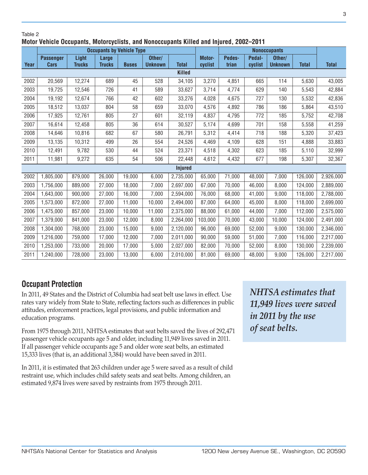## Table 2 **Motor Vehicle Occupants, Motorcyclists, and Nonoccupants Killed and Injured, 2002–2011**

|      | <b>Occupants by Vehicle Type</b> |               |               |              | <b>Nonoccupants</b> |                |         |        |         |                |              |              |
|------|----------------------------------|---------------|---------------|--------------|---------------------|----------------|---------|--------|---------|----------------|--------------|--------------|
|      | <b>Passenger</b>                 | Light         | <b>Large</b>  |              | Other/              |                | Motor-  | Pedes- | Pedal-  | Other/         |              |              |
| Year | <b>Cars</b>                      | <b>Trucks</b> | <b>Trucks</b> | <b>Buses</b> | <b>Unknown</b>      | <b>Total</b>   | cyclist | trian  | cyclist | <b>Unknown</b> | <b>Total</b> | <b>Total</b> |
|      | <b>Killed</b>                    |               |               |              |                     |                |         |        |         |                |              |              |
| 2002 | 20,569                           | 12,274        | 689           | 45           | 528                 | 34,105         | 3,270   | 4,851  | 665     | 114            | 5,630        | 43,005       |
| 2003 | 19,725                           | 12,546        | 726           | 41           | 589                 | 33,627         | 3,714   | 4,774  | 629     | 140            | 5,543        | 42,884       |
| 2004 | 19,192                           | 12,674        | 766           | 42           | 602                 | 33,276         | 4,028   | 4,675  | 727     | 130            | 5,532        | 42,836       |
| 2005 | 18,512                           | 13,037        | 804           | 58           | 659                 | 33,070         | 4,576   | 4,892  | 786     | 186            | 5,864        | 43,510       |
| 2006 | 17,925                           | 12,761        | 805           | 27           | 601                 | 32,119         | 4,837   | 4,795  | 772     | 185            | 5,752        | 42,708       |
| 2007 | 16,614                           | 12,458        | 805           | 36           | 614                 | 30,527         | 5,174   | 4,699  | 701     | 158            | 5,558        | 41,259       |
| 2008 | 14,646                           | 10,816        | 682           | 67           | 580                 | 26,791         | 5,312   | 4,414  | 718     | 188            | 5,320        | 37,423       |
| 2009 | 13,135                           | 10,312        | 499           | 26           | 554                 | 24,526         | 4,469   | 4,109  | 628     | 151            | 4,888        | 33,883       |
| 2010 | 12,491                           | 9,782         | 530           | 44           | 524                 | 23,371         | 4,518   | 4,302  | 623     | 185            | 5,110        | 32,999       |
| 2011 | 11,981                           | 9,272         | 635           | 54           | 506                 | 22,448         | 4,612   | 4,432  | 677     | 198            | 5,307        | 32,367       |
|      |                                  |               |               |              |                     | <b>Injured</b> |         |        |         |                |              |              |
| 2002 | 1,805,000                        | 879,000       | 26,000        | 19,000       | 6,000               | 2,735,000      | 65,000  | 71,000 | 48,000  | 7,000          | 126,000      | 2,926,000    |
| 2003 | 1,756,000                        | 889,000       | 27,000        | 18,000       | 7,000               | 2,697,000      | 67,000  | 70,000 | 46,000  | 8,000          | 124,000      | 2,889,000    |
| 2004 | 1,643,000                        | 900,000       | 27,000        | 16,000       | 7,000               | 2,594,000      | 76,000  | 68,000 | 41,000  | 9,000          | 118,000      | 2,788,000    |
| 2005 | 1,573,000                        | 872,000       | 27,000        | 11,000       | 10,000              | 2,494,000      | 87,000  | 64,000 | 45,000  | 8,000          | 118,000      | 2,699,000    |
| 2006 | 1,475,000                        | 857,000       | 23,000        | 10,000       | 11,000              | 2,375,000      | 88,000  | 61,000 | 44,000  | 7,000          | 112,000      | 2,575,000    |
| 2007 | 1,379,000                        | 841,000       | 23,000        | 12,000       | 8,000               | 2,264,000      | 103,000 | 70,000 | 43,000  | 10,000         | 124,000      | 2,491,000    |
| 2008 | 1,304,000                        | 768,000       | 23,000        | 15,000       | 9,000               | 2,120,000      | 96,000  | 69,000 | 52,000  | 9,000          | 130,000      | 2,346,000    |
| 2009 | 1,216,000                        | 759,000       | 17,000        | 12,000       | 7,000               | 2,011,000      | 90,000  | 59,000 | 51,000  | 7,000          | 116,000      | 2,217,000    |
| 2010 | 1,253,000                        | 733,000       | 20,000        | 17,000       | 5,000               | 2,027,000      | 82,000  | 70,000 | 52,000  | 8,000          | 130,000      | 2,239,000    |
| 2011 | 1,240,000                        | 728,000       | 23,000        | 13,000       | 6,000               | 2,010,000      | 81,000  | 69,000 | 48,000  | 9,000          | 126,000      | 2,217,000    |

# **Occupant Protection**

In 2011, 49 States and the District of Columbia had seat belt use laws in effect. Use rates vary widely from State to State, reflecting factors such as differences in public attitudes, enforcement practices, legal provisions, and public information and education programs.

From 1975 through 2011, NHTSA estimates that seat belts saved the lives of 292,471 passenger vehicle occupants age 5 and older, including 11,949 lives saved in 2011. If all passenger vehicle occupants age 5 and older wore seat belts, an estimated 15,333 lives (that is, an additional 3,384) would have been saved in 2011.

In 2011, it is estimated that 263 children under age 5 were saved as a result of child restraint use, which includes child safety seats and seat belts. Among children, an estimated 9,874 lives were saved by restraints from 1975 through 2011.

*NHTSA estimates that 11,949 lives were saved in 2011 by the use of seat belts.*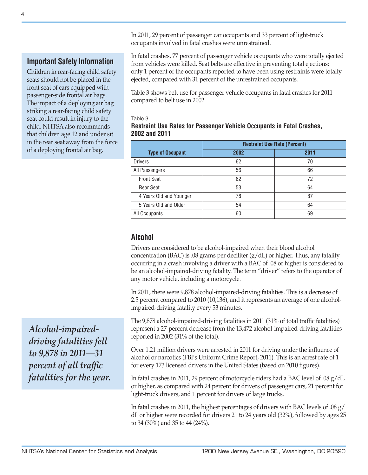In 2011, 29 percent of passenger car occupants and 33 percent of light-truck occupants involved in fatal crashes were unrestrained.

**Important Safety Information**

Children in rear-facing child safety seats should not be placed in the front seat of cars equipped with passenger-side frontal air bags. The impact of a deploying air bag striking a rear-facing child safety seat could result in injury to the child. NHTSA also recommends that children age 12 and under sit in the rear seat away from the force of a deploying frontal air bag.

*Alcohol-impaireddriving fatalities fell to 9,878 in 2011—31 percent of all traffic fatalities for the year.* In fatal crashes, 77 percent of passenger vehicle occupants who were totally ejected from vehicles were killed. Seat belts are effective in preventing total ejections: only 1 percent of the occupants reported to have been using restraints were totally ejected, compared with 31 percent of the unrestrained occupants.

Table 3 shows belt use for passenger vehicle occupants in fatal crashes for 2011 compared to belt use in 2002.

#### Table 3 **Restraint Use Rates for Passenger Vehicle Occupants in Fatal Crashes, 2002 and 2011**

|                         | <b>Restraint Use Rate (Percent)</b> |      |  |  |  |
|-------------------------|-------------------------------------|------|--|--|--|
| <b>Type of Occupant</b> | 2002                                | 2011 |  |  |  |
| <b>Drivers</b>          | 62                                  | 70   |  |  |  |
| All Passengers          | 56                                  | 66   |  |  |  |
| <b>Front Seat</b>       | 62                                  | 72   |  |  |  |
| <b>Rear Seat</b>        | 53                                  | 64   |  |  |  |
| 4 Years Old and Younger | 78                                  | 87   |  |  |  |
| 5 Years Old and Older   | 54                                  | 64   |  |  |  |
| All Occupants           | 60                                  | 69   |  |  |  |

## **Alcohol**

Drivers are considered to be alcohol-impaired when their blood alcohol concentration (BAC) is .08 grams per deciliter  $(g/dL)$  or higher. Thus, any fatality occurring in a crash involving a driver with a BAC of .08 or higher is considered to be an alcohol-impaired-driving fatality. The term "driver" refers to the operator of any motor vehicle, including a motorcycle.

In 2011, there were 9,878 alcohol-impaired-driving fatalities. This is a decrease of 2.5 percent compared to 2010 (10,136), and it represents an average of one alcoholimpaired-driving fatality every 53 minutes.

The 9,878 alcohol-impaired-driving fatalities in 2011 (31% of total traffic fatalities) represent a 27-percent decrease from the 13,472 alcohol-impaired-driving fatalities reported in 2002 (31% of the total).

Over 1.21 million drivers were arrested in 2011 for driving under the influence of alcohol or narcotics (FBI's Uniform Crime Report, 2011). This is an arrest rate of 1 for every 173 licensed drivers in the United States (based on 2010 figures).

In fatal crashes in 2011, 29 percent of motorcycle riders had a BAC level of .08 g/dL or higher, as compared with 24 percent for drivers of passenger cars, 21 percent for light-truck drivers, and 1 percent for drivers of large trucks.

In fatal crashes in 2011, the highest percentages of drivers with BAC levels of .08  $g/$ dL or higher were recorded for drivers 21 to 24 years old (32%), followed by ages 25 to 34 (30%) and 35 to 44 (24%).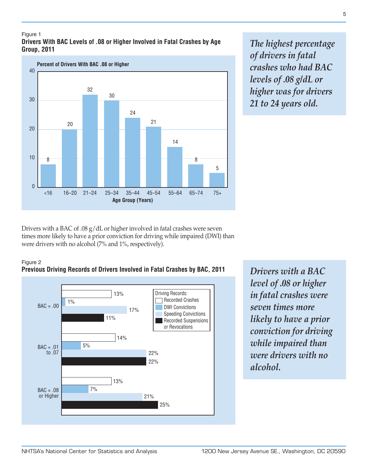#### Figure 1 **Drivers With BAC Levels of .08 or Higher Involved in Fatal Crashes by Age Group, 2011**



*The highest percentage of drivers in fatal crashes who had BAC levels of .08 g/dL or higher was for drivers 21 to 24 years old.*

Drivers with a BAC of .08 g/dL or higher involved in fatal crashes were seven times more likely to have a prior conviction for driving while impaired (DWI) than were drivers with no alcohol (7% and 1%, respectively).



## **Previous Driving Records of Drivers Involved in Fatal Crashes by BAC, 2011**



*Drivers with a BAC level of .08 or higher in fatal crashes were seven times more likely to have a prior conviction for driving while impaired than were drivers with no alcohol.*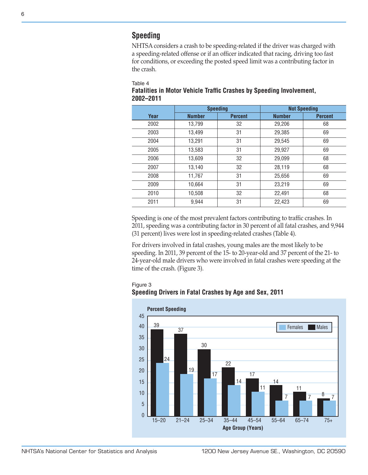# **Speeding**

NHTSA considers a crash to be speeding-related if the driver was charged with a speeding-related offense or if an officer indicated that racing, driving too fast for conditions, or exceeding the posted speed limit was a contributing factor in the crash.

Table 4

## **Fatalities in Motor Vehicle Traffic Crashes by Speeding Involvement, 2002–2011**

|      | <b>Speeding</b> |                | <b>Not Speeding</b> |                |  |  |
|------|-----------------|----------------|---------------------|----------------|--|--|
| Year | <b>Number</b>   | <b>Percent</b> | <b>Number</b>       | <b>Percent</b> |  |  |
| 2002 | 13,799          | 32             | 29,206              | 68             |  |  |
| 2003 | 13.499          | 31             | 29.385              | 69             |  |  |
| 2004 | 13,291          | 31             | 29,545              | 69             |  |  |
| 2005 | 13,583          | 31             | 29,927              | 69             |  |  |
| 2006 | 13.609          | 32             | 29.099              | 68             |  |  |
| 2007 | 13,140          | 32             | 28,119              | 68             |  |  |
| 2008 | 11,767          | 31             | 25,656              | 69             |  |  |
| 2009 | 10.664          | 31             | 23,219              | 69             |  |  |
| 2010 | 10.508          | 32             | 22.491              | 68             |  |  |
| 2011 | 9.944           | 31             | 22,423              | 69             |  |  |

Speeding is one of the most prevalent factors contributing to traffic crashes. In 2011, speeding was a contributing factor in 30 percent of all fatal crashes, and 9,944 (31 percent) lives were lost in speeding-related crashes (Table 4).

For drivers involved in fatal crashes, young males are the most likely to be speeding. In 2011, 39 percent of the 15- to 20-year-old and 37 percent of the 21- to 24-year-old male drivers who were involved in fatal crashes were speeding at the time of the crash. (Figure 3).

Figure 3

### **Speeding Drivers in Fatal Crashes by Age and Sex, 2011**

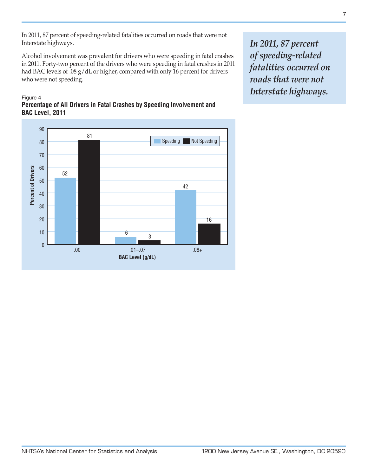In 2011, 87 percent of speeding-related fatalities occurred on roads that were not Interstate highways.

Alcohol involvement was prevalent for drivers who were speeding in fatal crashes in 2011. Forty-two percent of the drivers who were speeding in fatal crashes in 2011 had BAC levels of .08 g/dL or higher, compared with only 16 percent for drivers who were not speeding.

#### Figure 4 **Percentage of All Drivers in Fatal Crashes by Speeding Involvement and BAC Level, 2011**



*In 2011, 87 percent of speeding-related fatalities occurred on roads that were not Interstate highways.*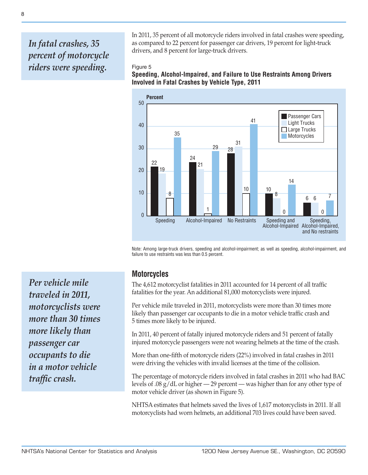# *In fatal crashes, 35 percent of motorcycle riders were speeding.*

In 2011, 35 percent of all motorcycle riders involved in fatal crashes were speeding, as compared to 22 percent for passenger car drivers, 19 percent for light-truck drivers, and 8 percent for large-truck drivers.

#### Figure 5

**Speeding, Alcohol-Impaired, and Failure to Use Restraints Among Drivers Involved in Fatal Crashes by Vehicle Type, 2011**



Note: Among large-truck drivers, speeding and alcohol-impairment; as well as speeding, alcohol-impairment, and failure to use restraints was less than 0.5 percent.

*Per vehicle mile traveled in 2011, motorcyclists were more than 30 times more likely than passenger car occupants to die in a motor vehicle traffic crash.*

## **Motorcycles**

The 4,612 motorcyclist fatalities in 2011 accounted for 14 percent of all traffic fatalities for the year. An additional 81,000 motorcyclists were injured.

Per vehicle mile traveled in 2011, motorcyclists were more than 30 times more likely than passenger car occupants to die in a motor vehicle traffic crash and 5 times more likely to be injured.

In 2011, 40 percent of fatally injured motorcycle riders and 51 percent of fatally injured motorcycle passengers were not wearing helmets at the time of the crash.

More than one-fifth of motorcycle riders (22%) involved in fatal crashes in 2011 were driving the vehicles with invalid licenses at the time of the collision.

The percentage of motorcycle riders involved in fatal crashes in 2011 who had BAC levels of .08 g/dL or higher — 29 percent — was higher than for any other type of motor vehicle driver (as shown in Figure 5).

NHTSA estimates that helmets saved the lives of 1,617 motorcyclists in 2011. If all motorcyclists had worn helmets, an additional 703 lives could have been saved.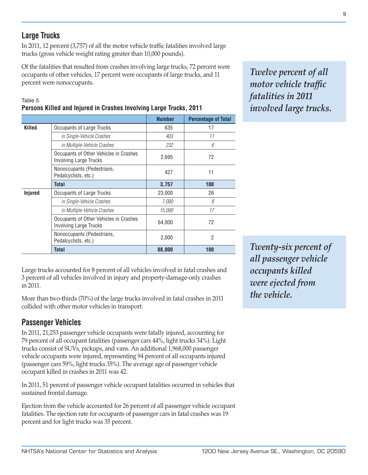9

*Twelve percent of all motor vehicle traffic fatalities in 2011 involved large trucks.*

# **Large Trucks**

In 2011, 12 percent (3,757) of all the motor vehicle traffic fatalities involved large trucks (gross vehicle weight rating greater than 10,000 pounds).

Of the fatalities that resulted from crashes involving large trucks, 72 percent were occupants of other vehicles, 17 percent were occupants of large trucks, and 11 percent were nonoccupants.

**Number Percentage of Total**

#### Table 5 **Persons Killed and Injured in Crashes Involving Large Trucks, 2011**

Occupants of Other Vehicles in Crashes

Occupants of Other Vehicles in Crashes

Nonoccupants (Pedestrians,

**Killed** | Occupants of Large Trucks | 635 | 17

**Injured**  $\vert$  Occupants of Large Trucks  $\vert$  23,000 26

*in Single-Vehicle Crashes 403 11 in Multiple-Vehicle Crashes 232 6*

Occupants of Other Venicies in Grasnes<br>Involving Large Trucks

Nonoccupants (Fedestrians, 1992)<br>Pedalcyclists, etc.) 11 **Total 3,757 100**

*in Single-Vehicle Crashes 7,000 8 in Multiple-Vehicle Crashes 15,000 17*

Involving Large Trucks 64,000 Final Research Control of the Second Control of the Second Control of the Second Control of the Second Control of the Second Control of the Second Control of the Second Control of the Second C Nonoccupants (Pedestrians, Nonoccupants (Pedestrians, 2,000 2,000 2 2 **Total 88,000 100** Large trucks accounted for 8 percent of all vehicles involved in fatal crashes and 3 percent of all vehicles involved in injury and property-damage-only crashes in 2011.

More than two-thirds (70%) of the large trucks involved in fatal crashes in 2011 collided with other motor vehicles in transport.

# **Passenger Vehicles**

In 2011, 21,253 passenger vehicle occupants were fatally injured, accounting for 79 percent of all occupant fatalities (passenger cars 44%, light trucks 34%). Light trucks consist of SUVs, pickups, and vans. An additional 1,968,000 passenger vehicle occupants were injured, representing 94 percent of all occupants injured (passenger cars 59%, light trucks 35%). The average age of passenger vehicle occupant killed in crashes in 2011 was 42.

In 2011, 51 percent of passenger vehicle occupant fatalities occurred in vehicles that sustained frontal damage.

Ejection from the vehicle accounted for 26 percent of all passenger vehicle occupant fatalities. The ejection rate for occupants of passenger cars in fatal crashes was 19 percent and for light trucks was 35 percent.

*Twenty-six percent of all passenger vehicle occupants killed were ejected from the vehicle.*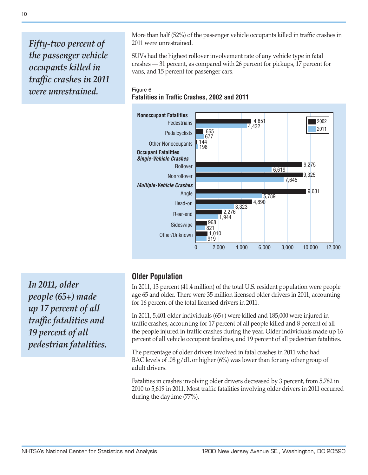*Fifty-two percent of the passenger vehicle occupants killed in traffic crashes in 2011 were unrestrained.*

More than half (52%) of the passenger vehicle occupants killed in traffic crashes in 2011 were unrestrained.

SUVs had the highest rollover involvement rate of any vehicle type in fatal crashes — 31 percent, as compared with 26 percent for pickups, 17 percent for vans, and 15 percent for passenger cars.

### Figure 6 **Fatalities in Traffic Crashes, 2002 and 2011**



*In 2011, older people (65+) made up 17 percent of all traffic fatalities and 19 percent of all pedestrian fatalities.*

## **Older Population**

In 2011, 13 percent (41.4 million) of the total U.S. resident population were people age 65 and older. There were 35 million licensed older drivers in 2011, accounting for 16 percent of the total licensed drivers in 2011.

In 2011, 5,401 older individuals (65+) were killed and 185,000 were injured in traffic crashes, accounting for 17 percent of all people killed and 8 percent of all the people injured in traffic crashes during the year. Older individuals made up 16 percent of all vehicle occupant fatalities, and 19 percent of all pedestrian fatalities.

The percentage of older drivers involved in fatal crashes in 2011 who had BAC levels of .08  $g/dL$  or higher (6%) was lower than for any other group of adult drivers.

Fatalities in crashes involving older drivers decreased by 3 percent, from 5,782 in 2010 to 5,619 in 2011. Most traffic fatalities involving older drivers in 2011 occurred during the daytime (77%).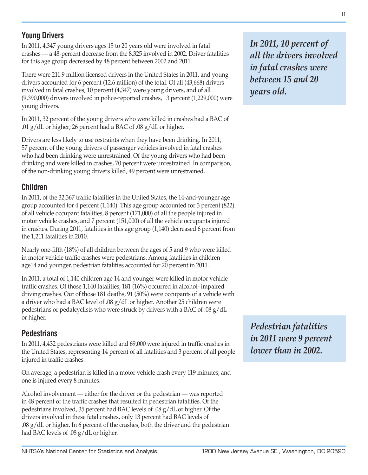## **Young Drivers**

In 2011, 4,347 young drivers ages 15 to 20 years old were involved in fatal crashes — a 48-percent decrease from the 8,325 involved in 2002. Driver fatalities for this age group decreased by 48 percent between 2002 and 2011.

There were 211.9 million licensed drivers in the United States in 2011, and young drivers accounted for 6 percent (12.6 million) of the total. Of all (43,668) drivers involved in fatal crashes, 10 percent (4,347) were young drivers, and of all (9,390,000) drivers involved in police-reported crashes, 13 percent (1,229,000) were young drivers.

In 2011, 32 percent of the young drivers who were killed in crashes had a BAC of .01  $g/dL$  or higher; 26 percent had a BAC of .08  $g/dL$  or higher.

Drivers are less likely to use restraints when they have been drinking. In 2011, 57 percent of the young drivers of passenger vehicles involved in fatal crashes who had been drinking were unrestrained. Of the young drivers who had been drinking and were killed in crashes, 70 percent were unrestrained. In comparison, of the non-drinking young drivers killed, 49 percent were unrestrained.

## **Children**

In 2011, of the 32,367 traffic fatalities in the United States, the 14-and-younger age group accounted for 4 percent (1,140). This age group accounted for 3 percent (822) of all vehicle occupant fatalities, 8 percent (171,000) of all the people injured in motor vehicle crashes, and 7 percent (151,000) of all the vehicle occupants injured in crashes. During 2011, fatalities in this age group (1,140) decreased 6 percent from the 1,211 fatalities in 2010.

Nearly one-fifth (18%) of all children between the ages of 5 and 9 who were killed in motor vehicle traffic crashes were pedestrians. Among fatalities in children age14 and younger, pedestrian fatalities accounted for 20 percent in 2011.

In 2011, a total of 1,140 children age 14 and younger were killed in motor vehicle traffic crashes. Of those 1,140 fatalities, 181 (16%) occurred in alcohol- impaired driving crashes. Out of those 181 deaths, 91 (50%) were occupants of a vehicle with a driver who had a BAC level of .08 g/dL or higher. Another 25 children were pedestrians or pedalcyclists who were struck by drivers with a BAC of .08 g/dL or higher.

# **Pedestrians**

In 2011, 4,432 pedestrians were killed and 69,000 were injured in traffic crashes in the United States, representing 14 percent of all fatalities and 3 percent of all people injured in traffic crashes.

On average, a pedestrian is killed in a motor vehicle crash every 119 minutes, and one is injured every 8 minutes.

Alcohol involvement — either for the driver or the pedestrian — was reported in 48 percent of the traffic crashes that resulted in pedestrian fatalities. Of the pedestrians involved, 35 percent had BAC levels of .08 g/dL or higher. Of the drivers involved in these fatal crashes, only 13 percent had BAC levels of  $.08 \text{ g}/\text{d}$ L or higher. In 6 percent of the crashes, both the driver and the pedestrian had BAC levels of .08 g/dL or higher.

*In 2011, 10 percent of all the drivers involved in fatal crashes were between 15 and 20 years old.*

*Pedestrian fatalities in 2011 were 9 percent lower than in 2002.*